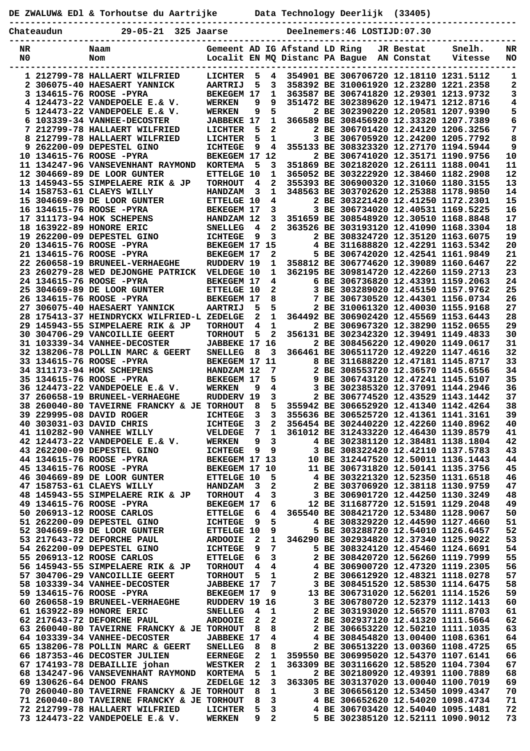|          |            | DE ZWALUW& ED1 & Torhoutse du Aartrijke bata Technology Deerlijk (33405)       |                                        |        |                                |                               |  |                                           |           |                                                                                  |                 |
|----------|------------|--------------------------------------------------------------------------------|----------------------------------------|--------|--------------------------------|-------------------------------|--|-------------------------------------------|-----------|----------------------------------------------------------------------------------|-----------------|
|          | Chateaudun | 29-05-21 325 Jaarse                                                            |                                        |        | Deelnemers: 46 LOSTIJD: 07.30  |                               |  |                                           |           |                                                                                  |                 |
| NR<br>N0 |            | Naam<br>Nom                                                                    |                                        |        |                                | Gemeent AD IG Afstand LD Ring |  | Localit EN MQ Distanc PA Bague AN Constat | JR Bestat | Snelh.<br>Vitesse                                                                | NR<br>NO        |
|          |            | 1 212799-78 HALLAERT WILFRIED                                                  | LICHTER                                | 5      | 4                              |                               |  |                                           |           | 354901 BE 306706720 12.18110 1231.5112                                           | 1               |
|          |            | 2 306075-40 HAESAERT YANNICK                                                   | <b>AARTRIJ</b><br><b>BEKEGEM 17</b>    | 5      | 3<br>$\mathbf{1}$              |                               |  |                                           |           | 358392 BE 310061920 12.23280 1221.2358<br>363587 BE 306741820 12.29301 1213.9732 | 2               |
|          |            | 3 134615-76 ROOSE -PYRA<br>4 124473-22 VANDEPOELE E.& V.                       | <b>WERKEN</b>                          | 9      | 9                              |                               |  |                                           |           | 351472 BE 302389620 12.19471 1212.8716                                           | 3<br>4          |
|          |            | 5 124473-22 VANDEPOELE E.& V.                                                  | <b>WERKEN</b>                          | 9      | 5                              |                               |  |                                           |           | 2 BE 302390220 12.20581 1207.9390                                                | 5               |
|          |            | 6 103339-34 VANHEE-DECOSTER                                                    | <b>JABBEKE 17</b>                      |        | $\mathbf{1}$                   |                               |  |                                           |           | 366589 BE 308456920 12.33320 1207.7389                                           | 6               |
|          |            | 7 212799-78 HALLAERT WILFRIED                                                  | LICHTER                                | 5      | $\overline{2}$                 |                               |  |                                           |           | 2 BE 306701420 12.24120 1206.3256                                                | 7               |
|          |            | 8 212799-78 HALLAERT WILFRIED                                                  | LICHTER                                | 5      | $\mathbf{1}$                   |                               |  |                                           |           | 3 BE 306705920 12.24200 1205.7792                                                | 8               |
|          |            | 9 262200-09 DEPESTEL GINO<br>10 134615-76 ROOSE -PYRA                          | <b>ICHTEGE</b><br>BEKEGEM 17 12        | 9      | 4                              |                               |  |                                           |           | 355133 BE 308323320 12.27170 1194.5944<br>2 BE 306741020 12.35171 1190.9756      | 9<br>${\bf 10}$ |
|          |            | 11 134247-96 VANSEVENHANT RAYMOND                                              | <b>KORTEMA</b>                         | 5      | 3                              |                               |  |                                           |           | 351869 BE 302182020 12.26111 1188.0041                                           | 11              |
|          |            | 12 304669-89 DE LOOR GUNTER                                                    | <b>ETTELGE 10</b>                      |        | 1                              |                               |  |                                           |           | 365052 BE 303222920 12.38460 1182.2908                                           | 12              |
|          |            | 13 145943-55 SIMPELAERE RIK & JP                                               | <b>TORHOUT</b>                         | 4      | $\mathbf{2}$                   |                               |  |                                           |           | 355393 BE 306900320 12.31060 1180.3155                                           | 13              |
|          |            | 14 158753-61 CLAEYS WILLY                                                      | <b>HANDZAM</b>                         | 3      | $\mathbf{1}$                   |                               |  |                                           |           | 348563 BE 303702620 12.25388 1178.9850                                           | 14              |
|          |            | 15 304669-89 DE LOOR GUNTER<br>16 134615-76 ROOSE -PYRA                        | <b>ETTELGE 10</b><br><b>BEKEGEM 17</b> |        | 4<br>3                         |                               |  |                                           |           | 2 BE 303221420 12.41250 1172.2301<br>3 BE 306734020 12.40531 1169.5225           | 15<br>16        |
|          |            | 17 311173-94 HOK SCHEPENS                                                      | HANDZAM 12                             |        | 3                              |                               |  |                                           |           | 351659 BE 308548920 12.30510 1168.8848                                           | 17              |
|          |            | 18 163922-89 HONORE ERIC                                                       | <b>SNELLEG</b>                         | 4      | $\overline{2}$                 |                               |  |                                           |           | 363526 BE 303193120 12.41090 1168.3304                                           | 18              |
|          |            | 19 262200-09 DEPESTEL GINO                                                     | <b>ICHTEGE</b>                         | 9      | $\mathbf{3}$                   |                               |  |                                           |           | 2 BE 308324720 12.35120 1163.6075                                                | 19              |
|          |            | 20 134615-76 ROOSE -PYRA                                                       | BEKEGEM 17 15                          |        |                                |                               |  |                                           |           | 4 BE 311688820 12.42291 1163.5342                                                | 20              |
|          |            | 21 134615-76 ROOSE -PYRA                                                       | <b>BEKEGEM 17</b>                      |        | $\mathbf{2}$                   |                               |  |                                           |           | 5 BE 306742020 12.42541 1161.9849                                                | 21              |
|          |            | 22 260658-19 BRUNEEL-VERHAEGHE<br>23 260279-28 WED DEJONGHE PATRICK VELDEGE 10 | RUDDERV 19                             |        | $\mathbf{1}$<br>$\mathbf{1}$   |                               |  |                                           |           | 358812 BE 306774620 12.39089 1160.6467<br>362195 BE 309814720 12.42260 1159.2713 | 22<br>23        |
|          |            | 24 134615-76 ROOSE -PYRA                                                       | <b>BEKEGEM 17</b>                      |        | 4                              |                               |  |                                           |           | 6 BE 306736820 12.43391 1159.2063                                                | 24              |
|          |            | 25 304669-89 DE LOOR GUNTER                                                    | <b>ETTELGE 10</b>                      |        | $\overline{a}$                 |                               |  |                                           |           | 3 BE 303289020 12.45150 1157.9762                                                | 25              |
|          |            | 26 134615-76 ROOSE -PYRA                                                       | <b>BEKEGEM 17</b>                      |        | 8                              |                               |  |                                           |           | 7 BE 306730520 12.44301 1156.0734                                                | 26              |
|          |            | 27 306075-40 HAESAERT YANNICK                                                  | <b>AARTRIJ</b>                         | 5      | 5                              |                               |  |                                           |           | 2 BE 310061320 12.40030 1155.9168                                                | 27              |
|          |            | 28 175413-37 HEINDRYCKX WILFRIED-L ZEDELGE                                     |                                        | 2      | $\mathbf{1}$                   |                               |  |                                           |           | 364492 BE 306902420 12.45569 1153.6443                                           | 28              |
|          |            | 29 145943-55 SIMPELAERE RIK & JP<br>30 304706-29 VANCOILLIE GEERT              | <b>TORHOUT</b><br><b>TORHOUT</b>       | 4<br>5 | $\mathbf{1}$<br>$\overline{2}$ |                               |  |                                           |           | 2 BE 306967320 12.38290 1152.0655<br>356131 BE 302342320 12.39491 1149.4833      | 29<br>30        |
|          |            | 31 103339-34 VANHEE-DECOSTER                                                   | JABBEKE 17 16                          |        |                                |                               |  |                                           |           | 2 BE 308456220 12.49020 1149.0617                                                | 31              |
|          |            | 32 138206-78 POLLIN MARC & GEERT                                               | <b>SNELLEG</b>                         | 8      | $\overline{\mathbf{3}}$        |                               |  |                                           |           | 366461 BE 306511720 12.49220 1147.4616                                           | 32              |
|          |            | 33 134615-76 ROOSE -PYRA                                                       | BEKEGEM 17 11                          |        |                                |                               |  |                                           |           | 8 BE 311688220 12.47181 1145.8717                                                | 33              |
|          |            | 34 311173-94 HOK SCHEPENS                                                      | <b>HANDZAM 12</b>                      |        | 7                              |                               |  |                                           |           | 2 BE 308553720 12.36570 1145.6556                                                | 34              |
|          |            | 35 134615-76 ROOSE -PYRA                                                       | <b>BEKEGEM 17</b>                      |        | 5                              |                               |  |                                           |           | 9 BE 306743120 12.47241 1145.5107                                                | 35              |
|          |            | 36 124473-22 VANDEPOELE E.& V.<br>37 260658-19 BRUNEEL-VERHAEGHE               | <b>WERKEN</b><br>RUDDERV 19            | 9      | $\overline{4}$<br>$\mathbf{3}$ |                               |  |                                           |           | 3 BE 302385320 12.37091 1144.2946<br>2 BE 306774520 12.43529 1143.1442           | 36<br>37        |
|          |            | 38 260040-80 TAVEIRNE FRANCKY & JE TORHOUT                                     |                                        | 8      | 5                              |                               |  |                                           |           | 355942 BE 306652920 12.41340 1142.4264                                           | 38              |
|          |            | 39 229995-08 DAVID ROGER                                                       | <b>ICHTEGE</b>                         | 3      | 3                              |                               |  |                                           |           | 355636 BE 306525720 12.41361 1141.3161                                           | 39              |
|          |            | 40 303031-03 DAVID CHRIS                                                       | <b>ICHTEGE</b>                         | 3      | 2                              |                               |  |                                           |           | 356454 BE 302440220 12.42260 1140.8962                                           | 40              |
|          |            | 41 110282-90 VANHEE WILLY                                                      | VELDEGE                                | 7      | 1                              |                               |  |                                           |           | 361012 BE 312433220 12.46430 1139.8579                                           | 41              |
|          |            | 42 124473-22 VANDEPOELE E.& V.<br>43 262200-09 DEPESTEL GINO                   | <b>WERKEN</b><br><b>ICHTEGE</b>        | 9      | 3<br>9                         |                               |  |                                           |           | 4 BE 302381120 12.38481 1138.1804<br>3 BE 308322420 12.42110 1137.5783           | 42<br>43        |
|          |            | 44 134615-76 ROOSE -PYRA                                                       | BEKEGEM 17 13                          | 9      |                                |                               |  |                                           |           | 10 BE 312447520 12.50011 1136.1443                                               | 44              |
|          |            | 45 134615-76 ROOSE -PYRA                                                       | BEKEGEM 17 10                          |        |                                |                               |  |                                           |           | 11 BE 306731820 12.50141 1135.3756                                               | 45              |
|          |            | 46 304669-89 DE LOOR GUNTER                                                    | <b>ETTELGE 10</b>                      |        | 5                              |                               |  |                                           |           | 4 BE 303221320 12.52350 1131.6518                                                | 46              |
|          |            | 47 158753-61 CLAEYS WILLY                                                      | <b>HANDZAM</b>                         | 3      | 2                              |                               |  |                                           |           | 2 BE 303706920 12.38118 1130.9759                                                | 47              |
|          |            | 48 145943-55 SIMPELAERE RIK & JP                                               | <b>TORHOUT</b>                         | 4      | 3                              |                               |  |                                           |           | 3 BE 306901720 12.44250 1130.3249                                                | 48              |
|          |            | 49 134615-76 ROOSE -PYRA<br>50 206913-12 ROOSE CARLOS                          | <b>BEKEGEM 17</b><br><b>ETTELGE</b>    | 6      | 6<br>4                         |                               |  |                                           |           | 12 BE 311687720 12.51591 1129.2048<br>365540 BE 308421720 12.53480 1128.9067     | 49<br>50        |
|          |            | 51 262200-09 DEPESTEL GINO                                                     | <b>ICHTEGE</b>                         | 9      | 5                              |                               |  |                                           |           | 4 BE 308329220 12.44590 1127.4660                                                | 51              |
|          |            | 52 304669-89 DE LOOR GUNTER                                                    | <b>ETTELGE 10</b>                      |        | 9                              |                               |  |                                           |           | 5 BE 303288720 12.54010 1126.6457                                                | 52              |
|          |            | 53 217643-72 DEFORCHE PAUL                                                     | <b>ARDOOIE</b>                         | 2      | 1                              |                               |  |                                           |           | 346290 BE 302934820 12.37340 1125.9022                                           | 53              |
|          |            | 54 262200-09 DEPESTEL GINO                                                     | <b>ICHTEGE</b>                         | 9      | 7                              |                               |  |                                           |           | 5 BE 308324120 12.45460 1124.6691                                                | 54              |
|          |            | 55 206913-12 ROOSE CARLOS                                                      | <b>ETTELGE</b>                         | 6      | з                              |                               |  |                                           |           | 2 BE 308420720 12.56260 1119.7999                                                | 55              |
|          |            | 56 145943-55 SIMPELAERE RIK & JP<br>57 304706-29 VANCOILLIE GEERT              | <b>TORHOUT</b><br><b>TORHOUT</b>       | 4<br>5 | 4<br>1                         |                               |  |                                           |           | 4 BE 306900720 12.47320 1119.2305<br>2 BE 306612920 12.48321 1118.0278           | 56<br>57        |
|          |            | 58 103339-34 VANHEE-DECOSTER                                                   | <b>JABBEKE 17</b>                      |        | 7                              |                               |  |                                           |           | 3 BE 308451520 12.58530 1114.6475                                                | 58              |
|          |            | 59 134615-76 ROOSE -PYRA                                                       | <b>BEKEGEM 17</b>                      |        | 9                              |                               |  |                                           |           | 13 BE 306731020 12.56201 1114.1526                                               | 59              |
|          |            | 60 260658-19 BRUNEEL-VERHAEGHE                                                 | RUDDERV 19 16                          |        |                                |                               |  |                                           |           | 3 BE 306780720 12.52379 1112.1413                                                | 60              |
|          |            | 61 163922-89 HONORE ERIC                                                       | <b>SNELLEG</b>                         | 4      | 1                              |                               |  |                                           |           | 2 BE 303193020 12.56570 1111.8703                                                | 61              |
|          |            | 62 217643-72 DEFORCHE PAUL<br>63 260040-80 TAVEIRNE FRANCKY & JE TORHOUT       | <b>ARDOOIE</b>                         | 2<br>8 | 2<br>8                         |                               |  |                                           |           | 2 BE 302937120 12.41320 1111.5664<br>2 BE 306653220 12.50210 1111.1035           | 62<br>63        |
|          |            | 64 103339-34 VANHEE-DECOSTER                                                   | <b>JABBEKE 17</b>                      |        | 4                              |                               |  |                                           |           | 4 BE 308454820 13.00400 1108.6361                                                | 64              |
|          |            | 65 138206-78 POLLIN MARC & GEERT                                               | <b>SNELLEG</b>                         | 8      | 8                              |                               |  |                                           |           | 2 BE 306513220 13.00360 1108.4725                                                | 65              |
|          |            | 66 187353-46 DECOSTER JULIEN                                                   | <b>EERNEGE</b>                         | 2      | $\mathbf 1$                    |                               |  |                                           |           | 359550 BE 306995020 12.54370 1107.6141                                           | 66              |
|          |            | 67 174193-78 DEBAILLIE johan                                                   | <b>WESTKER</b>                         | 2      | 1                              |                               |  |                                           |           | 363309 BE 303116620 12.58520 1104.7304                                           | 67              |
|          |            | 68 134247-96 VANSEVENHANT RAYMOND KORTEMA                                      |                                        | 5      | 1                              |                               |  |                                           |           | 2 BE 302180920 12.49391 1100.7889                                                | 68              |
|          |            | 69 130626-64 DENOO FRANS<br>70 260040-80 TAVEIRNE FRANCKY & JE TORHOUT         | ZEDELGE 12                             |        | 3                              |                               |  |                                           |           | 363305 BE 303137020 13.00040 1100.7019<br>3 BE 306656120 12.53450 1099.4347      | 69<br>70        |
|          |            | 71 260040-80 TAVEIRNE FRANCKY & JE TORHOUT                                     |                                        | 8<br>8 | 1<br>3                         |                               |  |                                           |           | 4 BE 306652620 12.54020 1098.4734                                                | 71              |
|          |            | 72 212799-78 HALLAERT WILFRIED                                                 | LICHTER                                | 5      | 3                              |                               |  |                                           |           | 4 BE 306703420 12.54040 1095.1481                                                | 72              |
|          |            | 73 124473-22 VANDEPOELE E.& V.                                                 | <b>WERKEN</b>                          | 9      | 2                              |                               |  |                                           |           | 5 BE 302385120 12.52111 1090.9012                                                | 73              |